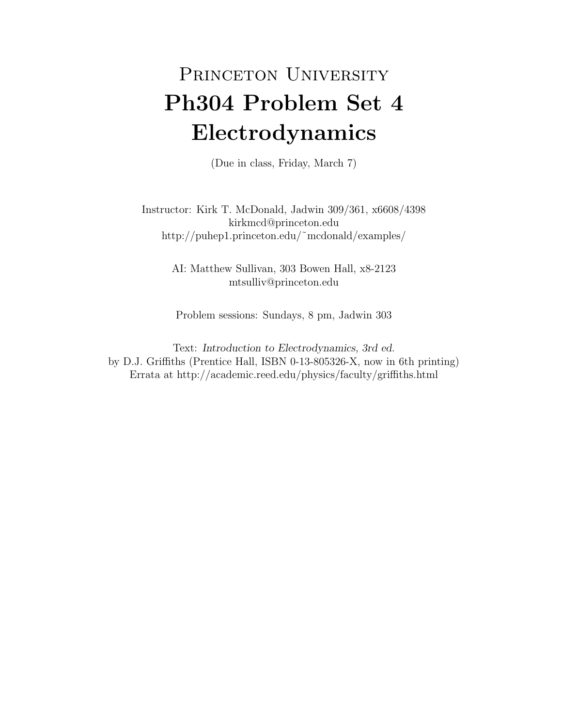## PRINCETON UNIVERSITY Ph304 Problem Set 4 Electrodynamics

(Due in class, Friday, March 7)

Instructor: Kirk T. McDonald, Jadwin 309/361, x6608/4398 kirkmcd@princeton.edu http://puhep1.princeton.edu/˜mcdonald/examples/

> AI: Matthew Sullivan, 303 Bowen Hall, x8-2123 mtsulliv@princeton.edu

Problem sessions: Sundays, 8 pm, Jadwin 303

Text: Introduction to Electrodynamics, 3rd ed. by D.J. Griffiths (Prentice Hall, ISBN 0-13-805326-X, now in 6th printing) Errata at http://academic.reed.edu/physics/faculty/griffiths.html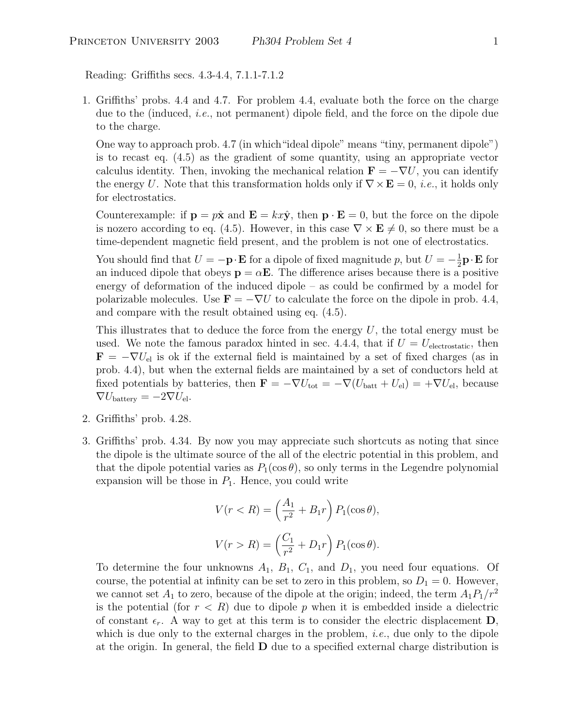Reading: Griffiths secs. 4.3-4.4, 7.1.1-7.1.2

1. Griffiths' probs. 4.4 and 4.7. For problem 4.4, evaluate both the force on the charge due to the (induced, i.e., not permanent) dipole field, and the force on the dipole due to the charge.

One way to approach prob. 4.7 (in which"ideal dipole" means "tiny, permanent dipole") is to recast eq. (4.5) as the gradient of some quantity, using an appropriate vector calculus identity. Then, invoking the mechanical relation  $\mathbf{F} = -\nabla U$ , you can identify the energy U. Note that this transformation holds only if  $\nabla \times \mathbf{E} = 0$ , *i.e.*, it holds only for electrostatics.

Counterexample: if  $\mathbf{p} = p\hat{\mathbf{x}}$  and  $\mathbf{E} = kx\hat{\mathbf{y}}$ , then  $\mathbf{p} \cdot \mathbf{E} = 0$ , but the force on the dipole is nozero according to eq. (4.5). However, in this case  $\nabla \times \mathbf{E} \neq 0$ , so there must be a time-dependent magnetic field present, and the problem is not one of electrostatics.

You should find that  $U = -\mathbf{p} \cdot \mathbf{E}$  for a dipole of fixed magnitude p, but  $U = -\frac{1}{2}$  $\frac{1}{2} \mathbf{p} \cdot \mathbf{E}$  for an induced dipole that obeys  $\mathbf{p} = \alpha \mathbf{E}$ . The difference arises because there is a positive energy of deformation of the induced dipole – as could be confirmed by a model for polarizable molecules. Use  $\mathbf{F} = -\nabla U$  to calculate the force on the dipole in prob. 4.4, and compare with the result obtained using eq. (4.5).

This illustrates that to deduce the force from the energy  $U$ , the total energy must be used. We note the famous paradox hinted in sec. 4.4.4, that if  $U = U_{\text{electrostatic}}$ , then  $\mathbf{F} = -\nabla U_{\text{el}}$  is ok if the external field is maintained by a set of fixed charges (as in prob. 4.4), but when the external fields are maintained by a set of conductors held at fixed potentials by batteries, then  $\mathbf{F} = -\nabla U_{\text{tot}} = -\nabla (U_{\text{batt}} + U_{\text{el}}) = +\nabla U_{\text{el}}$ , because  $\nabla U_{\text{battery}} = -2\nabla U_{\text{el}}.$ 

- 2. Griffiths' prob. 4.28.
- 3. Griffiths' prob. 4.34. By now you may appreciate such shortcuts as noting that since the dipole is the ultimate source of the all of the electric potential in this problem, and that the dipole potential varies as  $P_1(\cos \theta)$ , so only terms in the Legendre polynomial expansion will be those in  $P_1$ . Hence, you could write

$$
V(r < R) = \left(\frac{A_1}{r^2} + B_1r\right)P_1(\cos\theta),
$$
  

$$
V(r > R) = \left(\frac{C_1}{r^2} + D_1r\right)P_1(\cos\theta).
$$

To determine the four unknowns  $A_1$ ,  $B_1$ ,  $C_1$ , and  $D_1$ , you need four equations. Of course, the potential at infinity can be set to zero in this problem, so  $D_1 = 0$ . However, we cannot set  $A_1$  to zero, because of the dipole at the origin; indeed, the term  $A_1P_1/r^2$ is the potential (for  $r < R$ ) due to dipole p when it is embedded inside a dielectric of constant  $\epsilon_r$ . A way to get at this term is to consider the electric displacement **D**, which is due only to the external charges in the problem, *i.e.*, due only to the dipole at the origin. In general, the field  **due to a specified external charge distribution is**